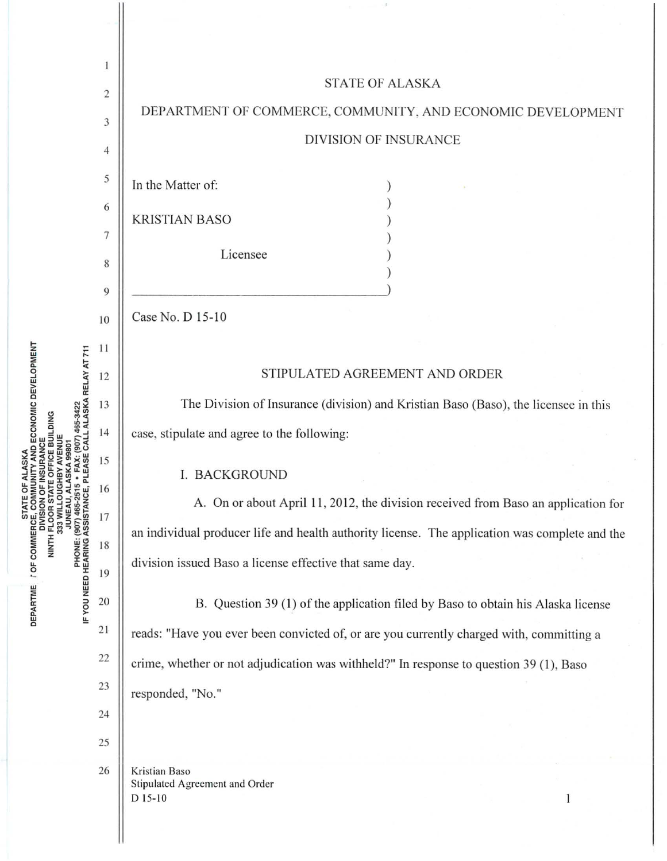

TY AND ECONOMIC DEVELOPMENT PHONE: (907) 465-2515 ∙ FAX: (907) 465-3422<br>IF YOU NEED HEARING ASSISTANCE, PLEASE CALL ALASKA RELAY AT 711 OFFICE BUILDING NINTH FLOOF DEPARTME / OF COMMERCE, 333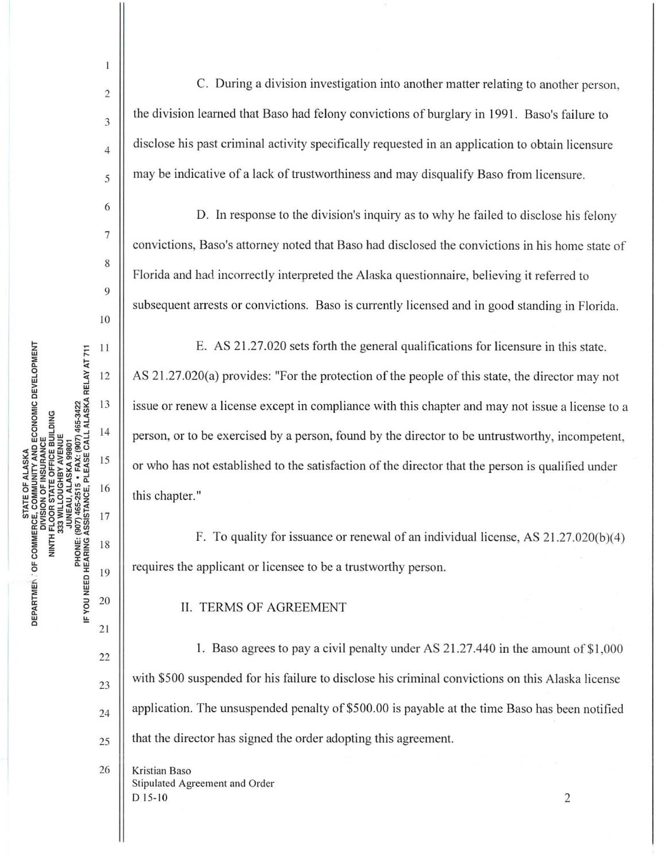19

20

21

22

23

24

25

 $\overline{1}$ 

C. During a division investigation into another matter relating to another person. the division learned that Baso had felony convictions of burglary in 1991. Baso's failure to disclose his past criminal activity specifically requested in an application to obtain licensure may be indicative of a lack of trustworthiness and may disqualify Baso from licensure.

D. In response to the division's inquiry as to why he failed to disclose his felony convictions, Baso's attorney noted that Baso had disclosed the convictions in his home state of Florida and had incorrectly interpreted the Alaska questionnaire, believing it referred to subsequent arrests or convictions. Baso is currently licensed and in good standing in Florida.

E. AS 21.27.020 sets forth the general qualifications for licensure in this state. AS 21.27.020(a) provides: "For the protection of the people of this state, the director may not issue or renew a license except in compliance with this chapter and may not issue a license to a person, or to be exercised by a person, found by the director to be untrustworthy, incompetent, or who has not established to the satisfaction of the director that the person is qualified under this chapter."

F. To quality for issuance or renewal of an individual license, AS 21.27.020(b)(4) requires the applicant or licensee to be a trustworthy person.

**II. TERMS OF AGREEMENT** 

1. Baso agrees to pay a civil penalty under AS 21.27.440 in the amount of \$1,000 with \$500 suspended for his failure to disclose his criminal convictions on this Alaska license application. The unsuspended penalty of \$500.00 is payable at the time Baso has been notified that the director has signed the order adopting this agreement.

26 Kristian Baso Stipulated Agreement and Order  $D$  15-10

2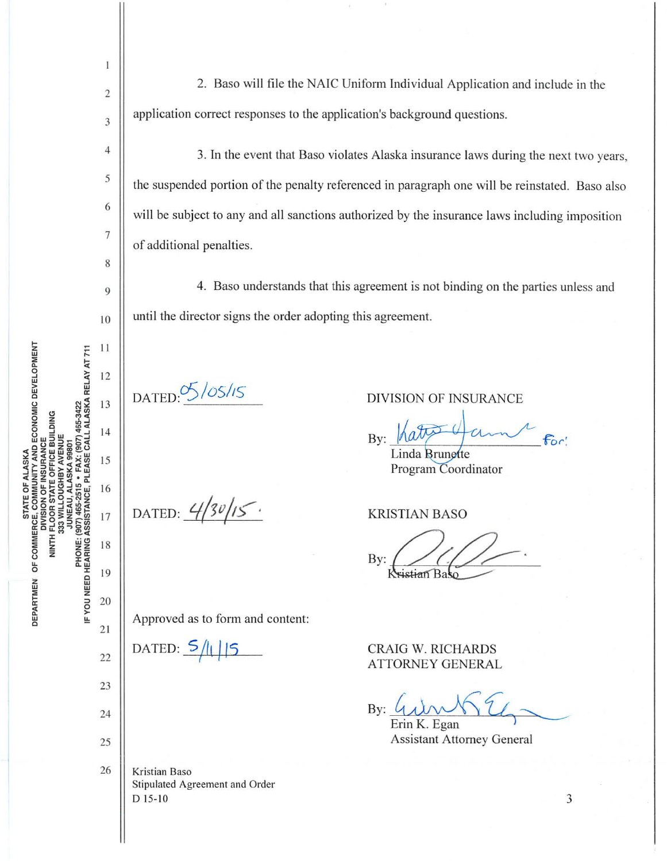STATE OF ANALIST CE ALASKA<br>DEPARTMEN OF COMMERCE, COMMUNITY AND ECONOMIC DEVELOPMENT<br>NINTH FLOOR STATE OFFICE BUILDING PHONE: (907) 465-2515 • FAX: (907) 465-3422<br>IF YOU NEED HEARING ASSISTANCE, PLEASE CALL ALASKA RELAY AT 711 NINTH FLOOR ST.<br>333 WILLO JUNEA

 $\mathbf{I}$ 

2 application correct responses to the application's background questions. 3  $\parallel$  3. In the event that Baso violates Alaska insurance laws during the next two years,  $\begin{array}{c|c} 5 \end{array}$  the suspended portion of the penalty referenced in paragraph one will be reinstated. Baso also 6 will be subject to any and all sanctions authorized by the insurance laws including imposition 7 of additional penalties. 8  $\vert$  4. Baso understands that this agreement is not binding on the parties unless and  $_{10}$  || until the director signs the order adopting this agreement.  $11$ 12  $\frac{S}{OS/OS}$  DIVISION OF INSURANCE 13  $14$ 15 16 DATED:  $4/30/15$ . 17 18 19 20 Approved as to form and content: 21 22 DATED:  $\frac{5}{11}$  | 5 CRAIG W. RICHARDS<br>ATTORNEY GENERAL 23  $\mathbf{By:} \underline{\mathcal{U}} \underline{\mathcal{W}} \underline{\mathcal{W}} \underline{\mathcal{V}}$ 25 || Assistant Attorney General 26 | Kristian Baso Stipulated Agreement and Order  $D 15-10$  3

2. Baso will file the NAIC Uniform Individual Application and include in the

Bv:

Linda Brunette Program Coordinator

KRISTIAN BASO

By: stian Ba